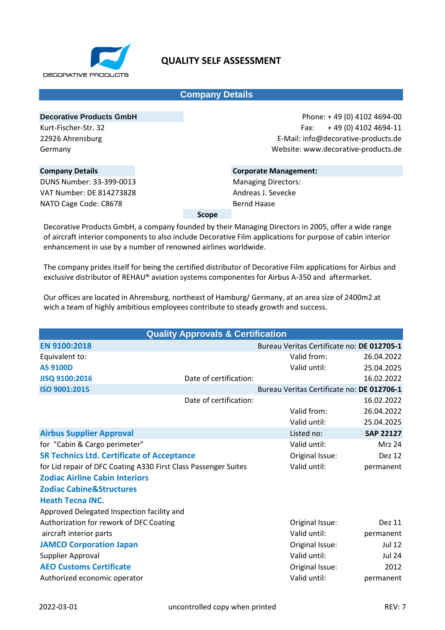

## **Company Details**

**Decorative Products GmbH** Kurt-Fischer-Str. 32 22926 Ahrensburg Germany

Phone: + 49 (0) 4102 4694-00 Fax: + 49 (0) 4102 4694-11 E-Mail: info@decorative-products.de Website: www.decorative-products.de

## **Company Details** DUNS Number: 33-399-0013 VAT Number: DE 814273828 NATO Cage Code: C8678

**Corporate Management:** Managing Directors: Andreas J. Sevecke Bernd Haase

**Scope**

Decorative Products GmbH, a company founded by their Managing Directors in 2005, offer a wide range of aircraft interior components to also include Decorative Film applications for purpose of cabin interior enhancement in use by a number of renowned airlines worldwide.

The company prides itself for being the certified distributor of Decorative Film applications for Airbus and exclusive distributor of REHAU® aviation systems componentes for Airbus A-350 and aftermarket.

Our offices are located in Ahrensburg, northeast of Hamburg/ Germany, at an area size of 2400m2 at wich a team of highly ambitious employees contribute to steady growth and success.

|                                                                 | <b>Quality Approvals &amp; Certification</b> |                                            |                  |
|-----------------------------------------------------------------|----------------------------------------------|--------------------------------------------|------------------|
| EN 9100:2018                                                    |                                              | Bureau Veritas Certificate no: DE 012705-1 |                  |
| Equivalent to:                                                  |                                              | Valid from:                                | 26.04.2022       |
| <b>AS 9100D</b>                                                 |                                              | Valid until:                               | 25.04.2025       |
| JISQ 9100:2016                                                  | Date of certification:                       |                                            | 16.02.2022       |
| ISO 9001:2015                                                   |                                              | Bureau Veritas Certificate no: DE 012706-1 |                  |
|                                                                 | Date of certification:                       |                                            | 16.02.2022       |
|                                                                 |                                              | Valid from:                                | 26.04.2022       |
|                                                                 |                                              | Valid until:                               | 25.04.2025       |
| <b>Airbus Supplier Approval</b>                                 |                                              | Listed no:                                 | <b>SAP 22127</b> |
| for "Cabin & Cargo perimeter"                                   |                                              | Valid until:                               | <b>Mrz 24</b>    |
| <b>SR Technics Ltd. Certificate of Acceptance</b>               |                                              | Original Issue:                            | Dez 12           |
| for Lid repair of DFC Coating A330 First Class Passenger Suites |                                              | Valid until:                               | permanent        |
| <b>Zodiac Airline Cabin Interiors</b>                           |                                              |                                            |                  |
| <b>Zodiac Cabine&amp;Structures</b>                             |                                              |                                            |                  |
| <b>Heath Tecna INC.</b>                                         |                                              |                                            |                  |
| Approved Delegated Inspection facility and                      |                                              |                                            |                  |
| Authorization for rework of DFC Coating                         |                                              | Original Issue:                            | Dez 11           |
| aircraft interior parts                                         |                                              | Valid until:                               | permanent        |
| <b>JAMCO Corporation Japan</b>                                  |                                              | Original Issue:                            | <b>Jul 12</b>    |
| Supplier Approval                                               |                                              | Valid until:                               | <b>Jul 24</b>    |
| <b>AEO Customs Certificate</b>                                  |                                              | Original Issue:                            | 2012             |
| Authorized economic operator                                    |                                              | Valid until:                               | permanent        |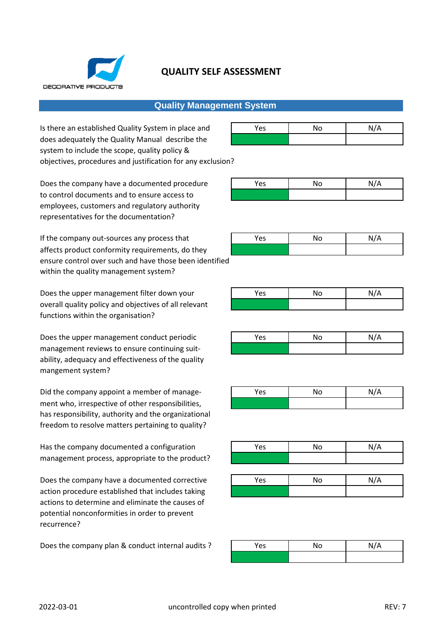

## **Quality Management System**

Is there an established Quality System in place and does adequately the Quality Manual describe the **√** system to include the scope, quality policy & objectives, procedures and justification for any exclusion?

Does the company have a documented procedure to control documents and to ensure access to **√** employees, customers and regulatory authority representatives for the documentation?

If the company out-sources any process that affects product conformity requirements, do they ensure control over such and have those been identified within the quality management system?

Does the upper management filter down your overall quality policy and objectives of all relevant **√** functions within the organisation?

Does the upper management conduct periodic management reviews to ensure continuing suit- **√** ability, adequacy and effectiveness of the quality mangement system?

Did the company appoint a member of management who, irrespective of other responsibilities, has responsibility, authority and the organizational freedom to resolve matters pertaining to quality?

Has the company documented a configuration management process, appropriate to the product?

Does the company have a documented corrective action procedure established that includes taking **√** actions to determine and eliminate the causes of potential nonconformities in order to prevent recurrence?

Does the company plan & conduct internal audits ?

| Yes | No | N/A |
|-----|----|-----|
|     |    |     |

| Yes | No | N/A |
|-----|----|-----|
|     |    |     |

| Yes | No | N/A |
|-----|----|-----|
|     |    |     |

| Yes | No | N/A |
|-----|----|-----|
|     |    |     |

| Yes | No | N/A |
|-----|----|-----|
|     |    |     |

| Yes | No | N/A |
|-----|----|-----|
|     |    |     |

| Yes | No | N/A |
|-----|----|-----|
|     |    |     |
|     |    |     |
| Yes | No | N/A |
|     |    |     |

| Yes | No | N/A |
|-----|----|-----|
|     |    |     |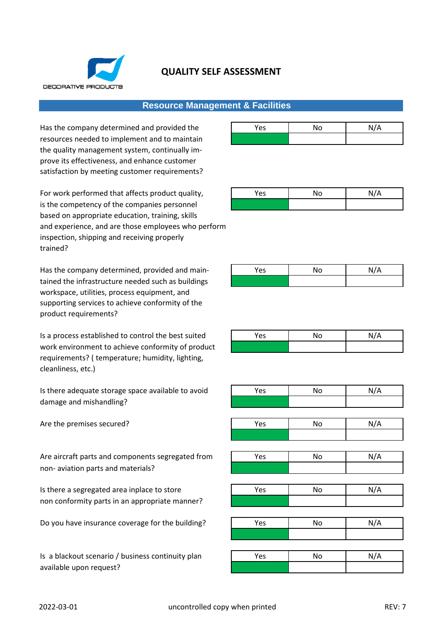

## **Resource Management & Facilities**

Has the company determined and provided the resources needed to implement and to maintain **√** the quality management system, continually improve its effectiveness, and enhance customer satisfaction by meeting customer requirements?

For work performed that affects product quality. is the competency of the companies personnel based on appropriate education, training, skills and experience, and are those employees who perform inspection, shipping and receiving properly trained?

Has the company determined, provided and maintained the infrastructure needed such as buildings **√** workspace, utilities, process equipment, and supporting services to achieve conformity of the product requirements?

Is a process established to control the best suited work environment to achieve conformity of product requirements? ( temperature; humidity, lighting, cleanliness, etc.)

Is there adequate storage space available to avoid damage and mishandling? **√**

Are the premises secured?

Are aircraft parts and components segregated from non- aviation parts and materials? **√**

Is there a segregated area inplace to store non conformity parts in an appropriate manner?

Do you have insurance coverage for the building?

Is a blackout scenario / business continuity plan available upon request? **√**

| Yes | No | N/A |
|-----|----|-----|
|     |    |     |

| Yes | No | N/A |
|-----|----|-----|
|     |    |     |

| Yes | No | N/A |
|-----|----|-----|
|     |    |     |

| Yes | No | N/A |
|-----|----|-----|
|     |    |     |

| Yes | No | N/A |
|-----|----|-----|
|     |    |     |
|     |    |     |
| Yes | No | N/A |
|     |    |     |
|     |    |     |
| Yes | No | N/A |
|     |    |     |
|     |    |     |
| Yes | No | N/A |
|     |    |     |
|     |    |     |
| Yes | No | N/A |
|     |    |     |
|     |    |     |
| Yes | No | N/A |
|     |    |     |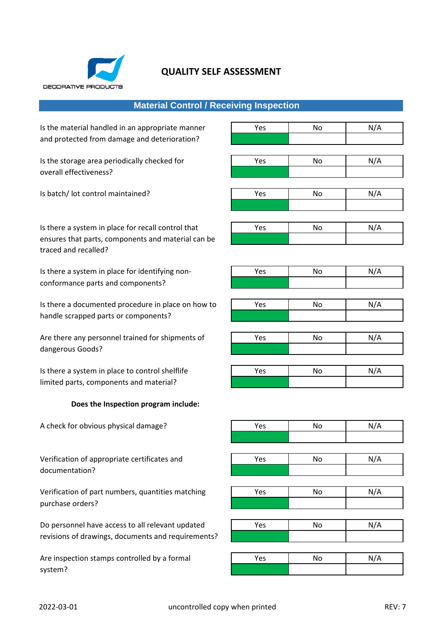

# **Material Control / Receiving Inspection**

Is the material handled in an appropriate manner  $\overline{Y}$  Yes No No N/A and protected from damage and deterioration?

Is the storage area periodically checked for  $\overline{y}$  Yes No No N/A overall effectiveness? **√**

Is batch/ lot control maintained?

Is there a system in place for recall control that ensures that parts, components and material can be **√** traced and recalled?

Is there a system in place for identifying nonconformance parts and components?

Is there a documented procedure in place on how to handle scrapped parts or components?

Are there any personnel trained for shipments of dangerous Goods? **√**

Is there a system in place to control shelflife limited parts, components and material?

#### **Does the Inspection program include:**

A check for obvious physical damage?

Verification of appropriate certificates and documentation? **√**

Verification of part numbers, quantities matching purchase orders? **√**

Do personnel have access to all relevant updated revisions of drawings, documents and requirements? **√**

Are inspection stamps controlled by a formal system? **√**

| Yes | ΝO | N/A    |
|-----|----|--------|
|     |    |        |
|     |    |        |
|     |    |        |
|     |    | $\sim$ |

| . | . | . |
|---|---|---|
|   |   |   |
|   |   |   |
|   |   |   |
|   |   |   |
|   |   |   |

| Yes | No | N/A |
|-----|----|-----|
|     |    |     |

| Yes | No | N/A |
|-----|----|-----|
|     |    |     |

| Yes | No | N/A |
|-----|----|-----|
|     |    |     |

| Yes | No | N/A |
|-----|----|-----|
|     |    |     |

| Yes | No | N/A |
|-----|----|-----|
|     |    |     |

| Yes | No | N/A |
|-----|----|-----|
|     |    |     |

| Yes | No | N/A |
|-----|----|-----|
|     |    |     |
|     |    |     |
| Yes | No | N/A |
|     |    |     |
|     |    |     |
| Yes | No | N/A |
|     |    |     |
|     |    |     |
| Yes | No | N/A |
|     |    |     |
|     |    |     |

| Yes | No | N/A |
|-----|----|-----|
|     |    |     |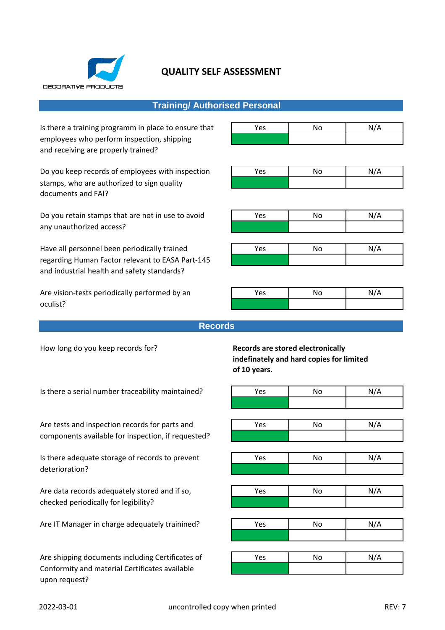

## **Training/ Authorised Personal**

Is there a training programm in place to ensure that employees who perform inspection, shipping **√** and receiving are properly trained?

Do you keep records of employees with inspection stamps, who are authorized to sign quality **√** documents and FAI?

Do you retain stamps that are not in use to avoid any unauthorized access? **√**

Have all personnel been periodically trained regarding Human Factor relevant to EASA Part-145 **√** and industrial health and safety standards?

Are vision-tests periodically performed by an oculist? **√**

| Yes | No | N/A |  |
|-----|----|-----|--|
|     |    |     |  |

| Yes | No | N/A |
|-----|----|-----|
|     |    |     |

| Yes | No | N/A |  |
|-----|----|-----|--|
|     |    |     |  |

| Yes | No | N/A |
|-----|----|-----|
|     |    |     |

| Yes | No | N/A |  |
|-----|----|-----|--|
|     |    |     |  |

#### **Records**

How long do you keep records for? **Records are stored electronically**

# **indefinately and hard copies for limited of 10 years.**

| Is there a serial number traceability maintained?  | Yes | No. | N/A |
|----------------------------------------------------|-----|-----|-----|
|                                                    |     |     |     |
|                                                    |     |     |     |
| Are tests and inspection records for parts and     | Yes | No. | N/A |
| components available for inspection, if requested? |     |     |     |
|                                                    |     |     |     |
| Is there adequate storage of records to prevent    | Yes | No. | N/A |
| deterioration?                                     |     |     |     |
|                                                    |     |     |     |
| Are data records adequately stored and if so,      | Yes | No. | N/A |
| checked periodically for legibility?               |     |     |     |
|                                                    |     |     |     |
| Are IT Manager in charge adequately trainined?     | Yes | No  | N/A |
|                                                    |     |     |     |
|                                                    |     |     |     |
| Are shipping documents including Certificates of   | Yes | No. | N/A |
| Conformity and material Certificates available     |     |     |     |
| upon request?                                      |     |     |     |